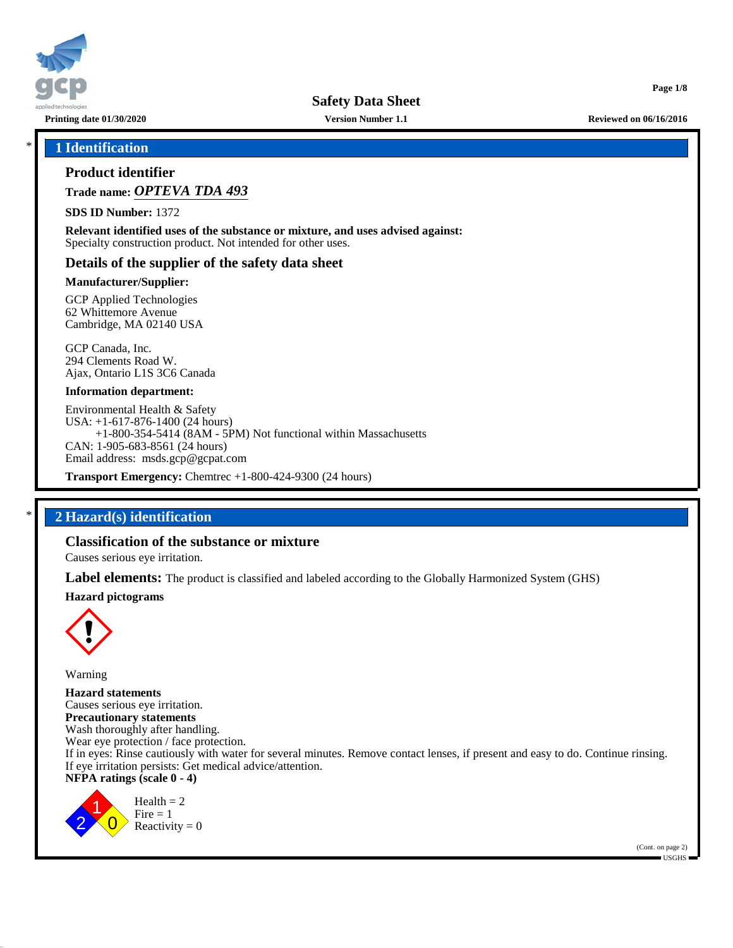

**Printing date 01/30/2020 Version Number 1.1 Reviewed on 06/16/2016**

**Page 1/8**

## \* **1 Identification**

## **Product identifier**

**Trade name:** *OPTEVA TDA 493*

**SDS ID Number:** 1372

**Relevant identified uses of the substance or mixture, and uses advised against:** Specialty construction product. Not intended for other uses.

## **Details of the supplier of the safety data sheet**

#### **Manufacturer/Supplier:**

GCP Applied Technologies 62 Whittemore Avenue Cambridge, MA 02140 USA

GCP Canada, Inc. 294 Clements Road W. Ajax, Ontario L1S 3C6 Canada

#### **Information department:**

Environmental Health & Safety USA: +1-617-876-1400 (24 hours) +1-800-354-5414 (8AM - 5PM) Not functional within Massachusetts CAN: 1-905-683-8561 (24 hours) Email address: msds.gcp@gcpat.com

**Transport Emergency:** Chemtrec +1-800-424-9300 (24 hours)

## \* **2 Hazard(s) identification**

## **Classification of the substance or mixture**

Causes serious eye irritation.

**Label elements:** The product is classified and labeled according to the Globally Harmonized System (GHS)

#### **Hazard pictograms**



Warning

**Hazard statements** Causes serious eye irritation. **Precautionary statements** Wash thoroughly after handling. Wear eye protection / face protection. If in eyes: Rinse cautiously with water for several minutes. Remove contact lenses, if present and easy to do. Continue rinsing. If eye irritation persists: Get medical advice/attention. **NFPA ratings (scale 0 - 4)**

2 1  $\overline{0}$  $Health = 2$  $Fire = 1$ Reactivity  $= 0$ 

50.0.11

(Cont. on page 2) USGHS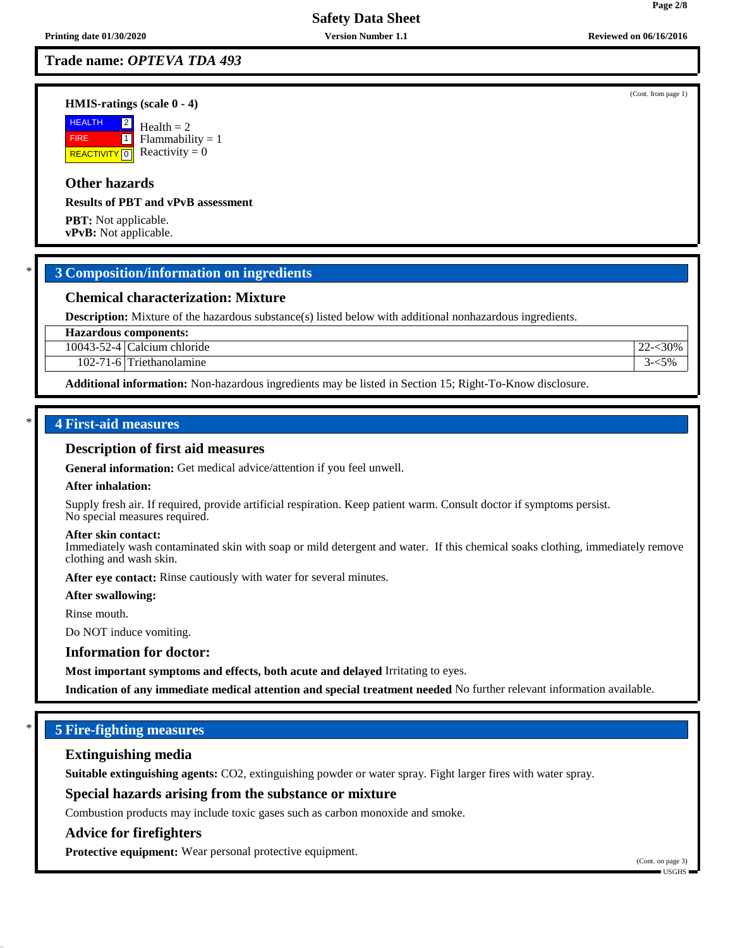## **Trade name:** *OPTEVA TDA 493*

#### **HMIS-ratings (scale 0 - 4)**

 HEALTH FIRE **REACTIVITY** 0  $|2|$  $\boxed{1}$  $Health = 2$  $Flammability = 1$ Reactivity  $= 0$ 

## **Other hazards**

#### **Results of PBT and vPvB assessment**

**PBT:** Not applicable. **vPvB:** Not applicable.

## \* **3 Composition/information on ingredients**

## **Chemical characterization: Mixture**

**Description:** Mixture of the hazardous substance(s) listed below with additional nonhazardous ingredients.

**Hazardous components:**

10043-52-4 Calcium chloride 22-<30%

102-71-6 Triethanolamine 3- $\leq$ 5%

**Additional information:** Non-hazardous ingredients may be listed in Section 15; Right-To-Know disclosure.

## \* **4 First-aid measures**

#### **Description of first aid measures**

**General information:** Get medical advice/attention if you feel unwell.

#### **After inhalation:**

Supply fresh air. If required, provide artificial respiration. Keep patient warm. Consult doctor if symptoms persist. No special measures required.

#### **After skin contact:**

Immediately wash contaminated skin with soap or mild detergent and water. If this chemical soaks clothing, immediately remove clothing and wash skin.

**After eye contact:** Rinse cautiously with water for several minutes.

**After swallowing:**

Rinse mouth.

Do NOT induce vomiting.

#### **Information for doctor:**

**Most important symptoms and effects, both acute and delayed** Irritating to eyes.

**Indication of any immediate medical attention and special treatment needed** No further relevant information available.

## \* **5 Fire-fighting measures**

#### **Extinguishing media**

**Suitable extinguishing agents:** CO2, extinguishing powder or water spray. Fight larger fires with water spray.

### **Special hazards arising from the substance or mixture**

Combustion products may include toxic gases such as carbon monoxide and smoke.

#### **Advice for firefighters**

50.0.11

**Protective equipment:** Wear personal protective equipment.

**Page 2/8**

(Cont. from page 1)

(Cont. on page 3) USGHS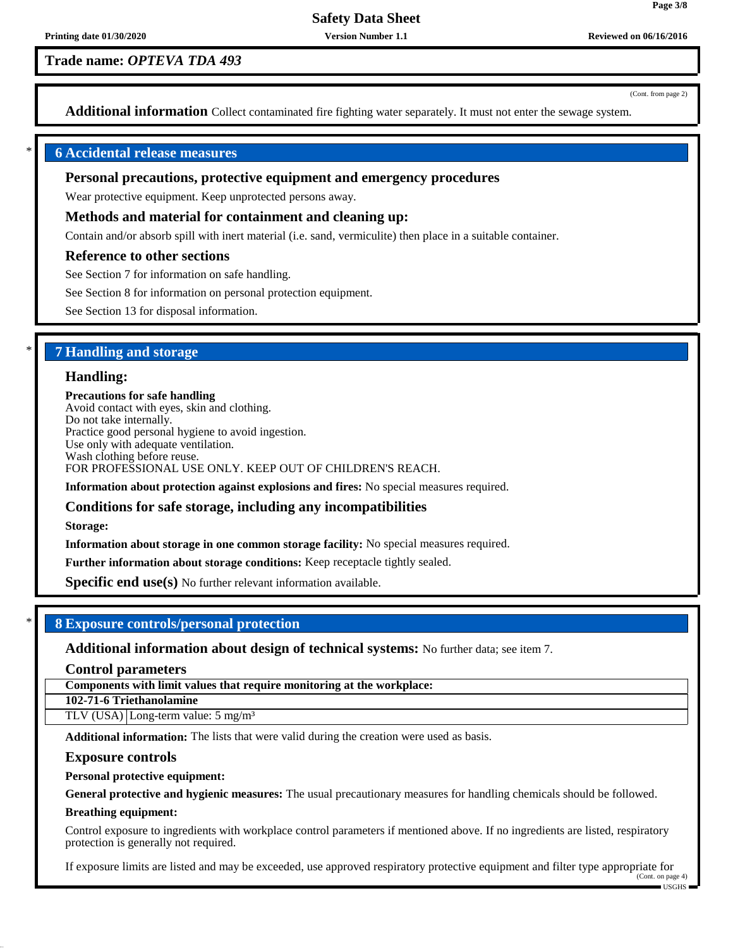**Trade name:** *OPTEVA TDA 493*

(Cont. from page 2)

**Page 3/8**

**Additional information** Collect contaminated fire fighting water separately. It must not enter the sewage system.

#### \* **6 Accidental release measures**

#### **Personal precautions, protective equipment and emergency procedures**

Wear protective equipment. Keep unprotected persons away.

#### **Methods and material for containment and cleaning up:**

Contain and/or absorb spill with inert material (i.e. sand, vermiculite) then place in a suitable container.

#### **Reference to other sections**

See Section 7 for information on safe handling.

See Section 8 for information on personal protection equipment.

See Section 13 for disposal information.

## \* **7 Handling and storage**

#### **Handling:**

**Precautions for safe handling** Avoid contact with eyes, skin and clothing. Do not take internally. Practice good personal hygiene to avoid ingestion. Use only with adequate ventilation. Wash clothing before reuse. FOR PROFESSIONAL USE ONLY. KEEP OUT OF CHILDREN'S REACH.

**Information about protection against explosions and fires:** No special measures required.

## **Conditions for safe storage, including any incompatibilities**

**Storage:**

**Information about storage in one common storage facility:** No special measures required.

**Further information about storage conditions:** Keep receptacle tightly sealed.

**Specific end use(s)** No further relevant information available.

## \* **8 Exposure controls/personal protection**

**Additional information about design of technical systems:** No further data; see item 7.

**Control parameters**

**Components with limit values that require monitoring at the workplace:**

**102-71-6 Triethanolamine**

TLV (USA) Long-term value: 5 mg/m<sup>3</sup>

**Additional information:** The lists that were valid during the creation were used as basis.

#### **Exposure controls**

#### **Personal protective equipment:**

**General protective and hygienic measures:** The usual precautionary measures for handling chemicals should be followed.

#### **Breathing equipment:**

50.0.11

Control exposure to ingredients with workplace control parameters if mentioned above. If no ingredients are listed, respiratory protection is generally not required.

If exposure limits are listed and may be exceeded, use approved respiratory protective equipment and filter type appropriate for (Cont. on page 4)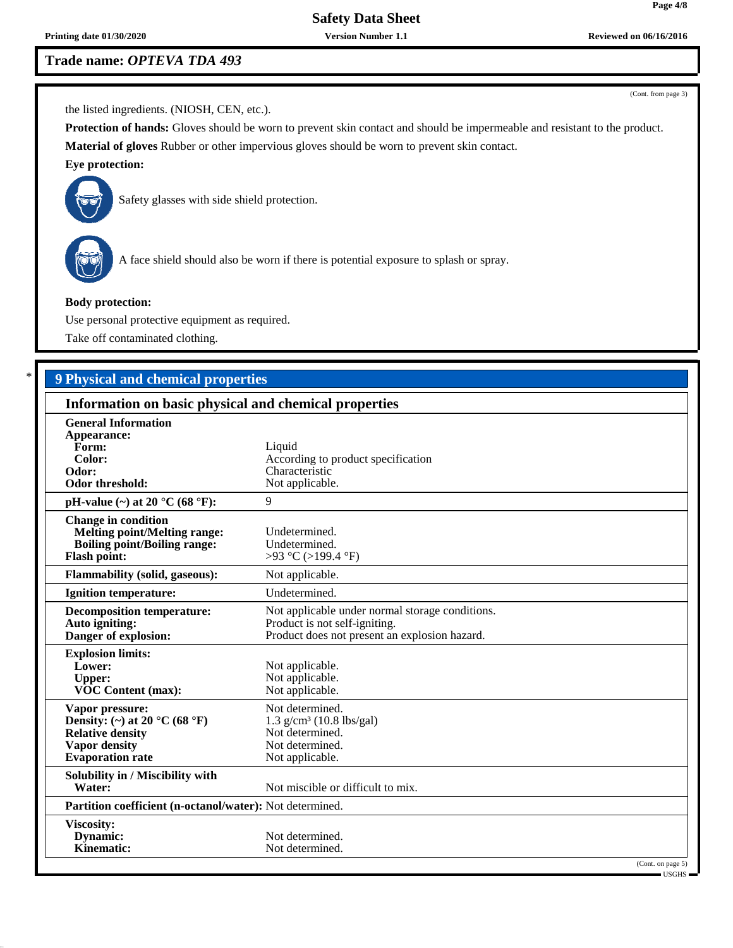**Printing date 01/30/2020 Version Number 1.1 Reviewed on 06/16/2016**

# **Trade name:** *OPTEVA TDA 493*

(Cont. from page 3)

the listed ingredients. (NIOSH, CEN, etc.).

**Protection of hands:** Gloves should be worn to prevent skin contact and should be impermeable and resistant to the product. **Material of gloves** Rubber or other impervious gloves should be worn to prevent skin contact.

## **Eye protection:**



Safety glasses with side shield protection.



50.0.11

A face shield should also be worn if there is potential exposure to splash or spray.

### **Body protection:**

Use personal protective equipment as required.

Take off contaminated clothing.

# \* **9 Physical and chemical properties**

| Information on basic physical and chemical properties                                                                           |                                                                                                                                   |  |  |
|---------------------------------------------------------------------------------------------------------------------------------|-----------------------------------------------------------------------------------------------------------------------------------|--|--|
| <b>General Information</b><br>Appearance:<br>Form:<br>Color:<br>Odor:<br>Odor threshold:                                        | Liquid<br>According to product specification<br>Characteristic<br>Not applicable.                                                 |  |  |
| pH-value $(\sim)$ at 20 °C (68 °F):                                                                                             | 9                                                                                                                                 |  |  |
| <b>Change in condition</b><br><b>Melting point/Melting range:</b><br><b>Boiling point/Boiling range:</b><br><b>Flash point:</b> | Undetermined.<br>Undetermined.<br>>93 °C (>199.4 °F)                                                                              |  |  |
| <b>Flammability (solid, gaseous):</b>                                                                                           | Not applicable.                                                                                                                   |  |  |
| <b>Ignition temperature:</b>                                                                                                    | Undetermined.                                                                                                                     |  |  |
| <b>Decomposition temperature:</b><br>Auto igniting:<br>Danger of explosion:                                                     | Not applicable under normal storage conditions.<br>Product is not self-igniting.<br>Product does not present an explosion hazard. |  |  |
| <b>Explosion limits:</b><br>Lower:<br><b>Upper:</b><br><b>VOC Content (max):</b>                                                | Not applicable.<br>Not applicable.<br>Not applicable.                                                                             |  |  |
| Vapor pressure:<br>Density: (~) at 20 °C (68 °F)<br><b>Relative density</b><br><b>Vapor density</b><br><b>Evaporation</b> rate  | Not determined.<br>$1.3$ g/cm <sup>3</sup> (10.8 lbs/gal)<br>Not determined.<br>Not determined.<br>Not applicable.                |  |  |
| Solubility in / Miscibility with<br>Water:                                                                                      | Not miscible or difficult to mix.                                                                                                 |  |  |
| Partition coefficient (n-octanol/water): Not determined.                                                                        |                                                                                                                                   |  |  |
| Viscosity:<br>Dynamic:<br>Kinematic:                                                                                            | Not determined.<br>Not determined.<br>(Cont. on page 5)                                                                           |  |  |
|                                                                                                                                 | $\blacksquare$ USGHS $\blacksquare$                                                                                               |  |  |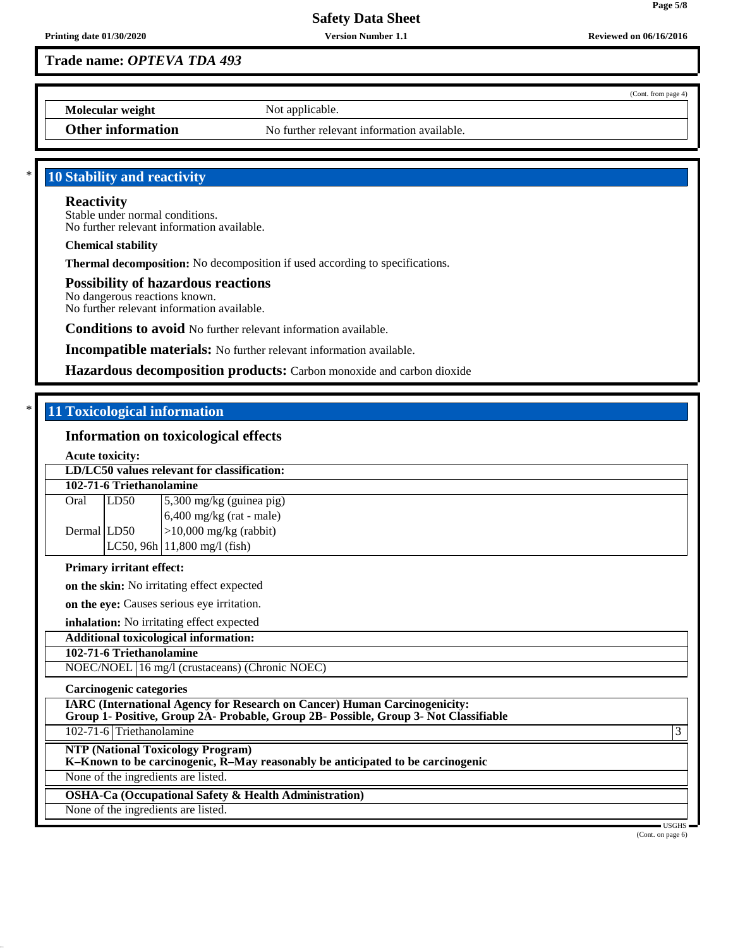**Trade name:** *OPTEVA TDA 493*

(Cont. from page 4)

**Page 5/8**

**Molecular weight** Not applicable.

**Other information** No further relevant information available.

## 10 Stability and reactivity

# **Reactivity**

Stable under normal conditions. No further relevant information available.

**Chemical stability**

**Thermal decomposition:** No decomposition if used according to specifications.

## **Possibility of hazardous reactions**

No dangerous reactions known. No further relevant information available.

**Conditions to avoid** No further relevant information available.

**Incompatible materials:** No further relevant information available.

**Hazardous decomposition products:** Carbon monoxide and carbon dioxide

## **11 Toxicological information**

50.0.11

## **Information on toxicological effects**

|                                                                                                                                                                          | <b>Acute toxicity:</b>                    |                                         |  |  |
|--------------------------------------------------------------------------------------------------------------------------------------------------------------------------|-------------------------------------------|-----------------------------------------|--|--|
| LD/LC50 values relevant for classification:                                                                                                                              |                                           |                                         |  |  |
| 102-71-6 Triethanolamine                                                                                                                                                 |                                           |                                         |  |  |
| Oral                                                                                                                                                                     | LD50                                      | 5,300 mg/kg (guinea pig)                |  |  |
|                                                                                                                                                                          |                                           | $6,400$ mg/kg (rat - male)              |  |  |
| Dermal LD50                                                                                                                                                              |                                           | $>10,000$ mg/kg (rabbit)                |  |  |
|                                                                                                                                                                          |                                           | LC50, 96h $ 11,800 \text{ mg/l}$ (fish) |  |  |
| <b>Primary irritant effect:</b>                                                                                                                                          |                                           |                                         |  |  |
| on the skin: No irritating effect expected                                                                                                                               |                                           |                                         |  |  |
| on the eye: Causes serious eye irritation.                                                                                                                               |                                           |                                         |  |  |
|                                                                                                                                                                          | inhalation: No irritating effect expected |                                         |  |  |
| <b>Additional toxicological information:</b>                                                                                                                             |                                           |                                         |  |  |
| 102-71-6 Triethanolamine                                                                                                                                                 |                                           |                                         |  |  |
| NOEC/NOEL 16 mg/l (crustaceans) (Chronic NOEC)                                                                                                                           |                                           |                                         |  |  |
| Carcinogenic categories                                                                                                                                                  |                                           |                                         |  |  |
| <b>IARC</b> (International Agency for Research on Cancer) Human Carcinogenicity:<br>Group 1- Positive, Group 2A- Probable, Group 2B- Possible, Group 3- Not Classifiable |                                           |                                         |  |  |
| 102-71-6 Triethanolamine<br>3                                                                                                                                            |                                           |                                         |  |  |
| <b>NTP (National Toxicology Program)</b><br>K-Known to be carcinogenic, R-May reasonably be anticipated to be carcinogenic                                               |                                           |                                         |  |  |
| None of the ingredients are listed.                                                                                                                                      |                                           |                                         |  |  |
| <b>OSHA-Ca (Occupational Safety &amp; Health Administration)</b>                                                                                                         |                                           |                                         |  |  |
| None of the ingredients are listed.                                                                                                                                      |                                           |                                         |  |  |
|                                                                                                                                                                          | USGHS $-$                                 |                                         |  |  |

(Cont. on page 6)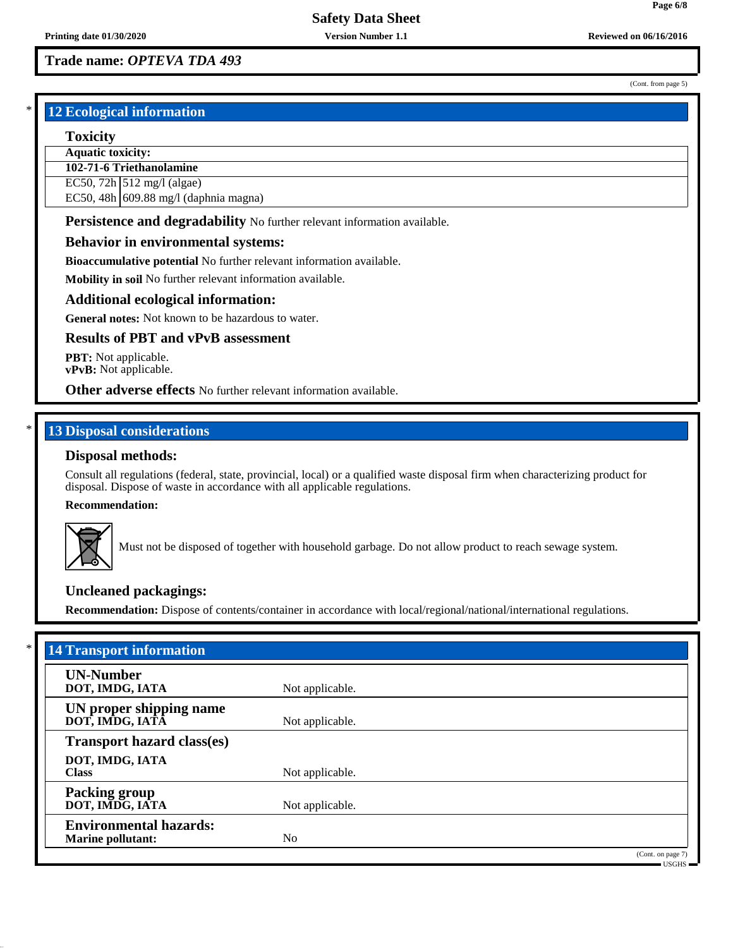**Page 6/8**

(Cont. from page 5)

# **Trade name:** *OPTEVA TDA 493*

## **12 Ecological information**

#### **Toxicity**

**Aquatic toxicity:**

**102-71-6 Triethanolamine**

EC50,  $72h$  512 mg/l (algae)

EC50, 48h 609.88 mg/l (daphnia magna)

**Persistence and degradability** No further relevant information available.

### **Behavior in environmental systems:**

**Bioaccumulative potential** No further relevant information available.

**Mobility in soil** No further relevant information available.

#### **Additional ecological information:**

**General notes:** Not known to be hazardous to water.

## **Results of PBT and vPvB assessment**

**PBT:** Not applicable. **vPvB:** Not applicable.

**Other adverse effects** No further relevant information available.

## **13 Disposal considerations**

#### **Disposal methods:**

Consult all regulations (federal, state, provincial, local) or a qualified waste disposal firm when characterizing product for disposal. Dispose of waste in accordance with all applicable regulations.

#### **Recommendation:**



50.0.11

Must not be disposed of together with household garbage. Do not allow product to reach sewage system.

## **Uncleaned packagings:**

**Recommendation:** Dispose of contents/container in accordance with local/regional/national/international regulations.

| <b>14 Transport information</b>                           |                 |                                    |
|-----------------------------------------------------------|-----------------|------------------------------------|
| <b>UN-Number</b><br>DOT, IMDG, IATA                       | Not applicable. |                                    |
| UN proper shipping name<br>DOT, IMDG, IATA                | Not applicable. |                                    |
| <b>Transport hazard class(es)</b>                         |                 |                                    |
| DOT, IMDG, IATA<br><b>Class</b>                           | Not applicable. |                                    |
| <b>Packing group</b><br>DOT, IMDG, IATA                   | Not applicable. |                                    |
| <b>Environmental hazards:</b><br><b>Marine pollutant:</b> | N <sub>0</sub>  |                                    |
|                                                           |                 | (Cont. on page 7)<br>$-$ USGHS $-$ |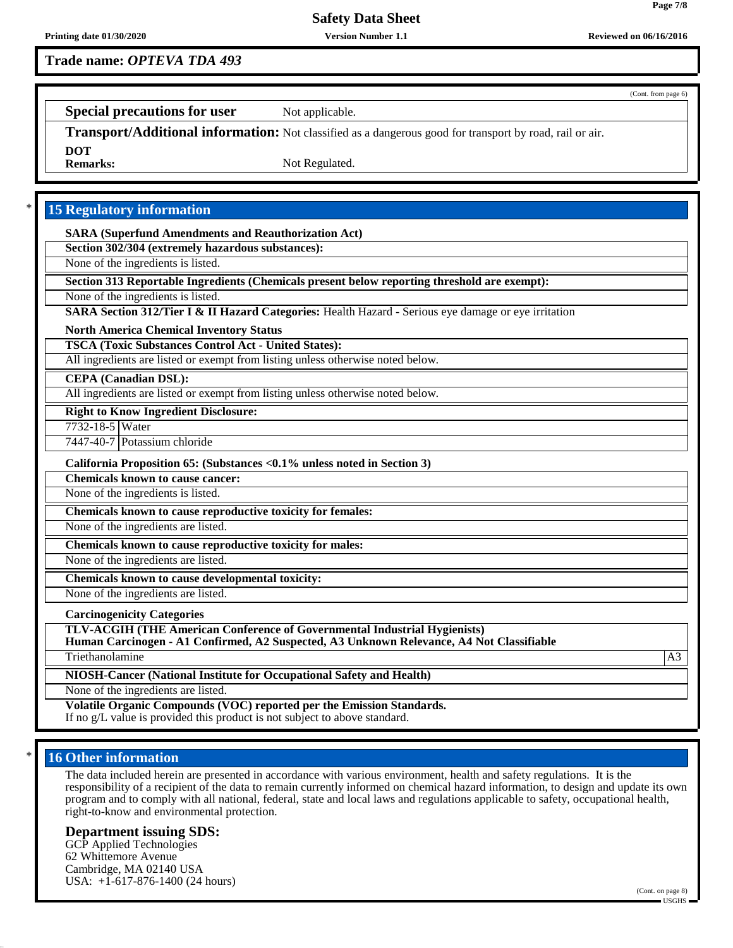**Trade name:** *OPTEVA TDA 493*

(Cont. from page 6)

**Page 7/8**

**Special precautions for user** Not applicable.

**Transport/Additional information:** Not classified as a dangerous good for transport by road, rail or air. **DOT** Not Regulated.

**15 Regulatory information** 

**SARA (Superfund Amendments and Reauthorization Act)**

**Section 302/304 (extremely hazardous substances):**

None of the ingredients is listed.

**Section 313 Reportable Ingredients (Chemicals present below reporting threshold are exempt):**

None of the ingredients is listed.

**SARA Section 312/Tier I & II Hazard Categories:** Health Hazard - Serious eye damage or eye irritation

**North America Chemical Inventory Status**

**TSCA (Toxic Substances Control Act - United States):**

All ingredients are listed or exempt from listing unless otherwise noted below.

**CEPA (Canadian DSL):**

All ingredients are listed or exempt from listing unless otherwise noted below.

**Right to Know Ingredient Disclosure:**

7732-18-5 Water

7447-40-7 Potassium chloride

**California Proposition 65: (Substances <0.1% unless noted in Section 3)**

**Chemicals known to cause cancer:**

None of the ingredients is listed.

**Chemicals known to cause reproductive toxicity for females:**

None of the ingredients are listed.

**Chemicals known to cause reproductive toxicity for males:**

None of the ingredients are listed.

**Chemicals known to cause developmental toxicity:**

None of the ingredients are listed.

**Carcinogenicity Categories**

**TLV-ACGIH (THE American Conference of Governmental Industrial Hygienists)**

**Human Carcinogen - A1 Confirmed, A2 Suspected, A3 Unknown Relevance, A4 Not Classifiable**

Triethanolamine and a state of the state of the state of the state of the state of the state of the state of the state of the state of the state of the state of the state of the state of the state of the state of the state

**NIOSH-Cancer (National Institute for Occupational Safety and Health)**

None of the ingredients are listed.

**Volatile Organic Compounds (VOC) reported per the Emission Standards.** If no g/L value is provided this product is not subject to above standard.

## **16 Other information**

50.0.11

The data included herein are presented in accordance with various environment, health and safety regulations. It is the responsibility of a recipient of the data to remain currently informed on chemical hazard information, to design and update its own program and to comply with all national, federal, state and local laws and regulations applicable to safety, occupational health, right-to-know and environmental protection.

#### **Department issuing SDS:**

GCP Applied Technologies 62 Whittemore Avenue Cambridge, MA 02140 USA USA: +1-617-876-1400 (24 hours)